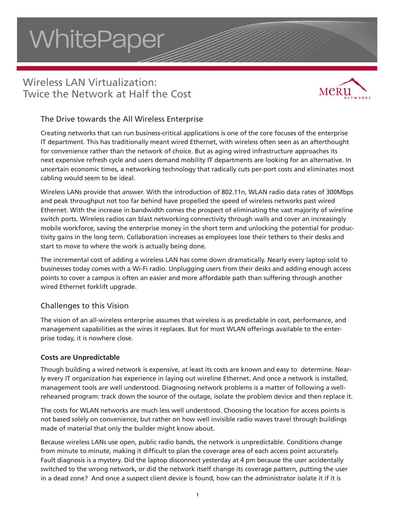# **WhitePaper**

# Wireless LAN Virtualization: Twice the Network at Half the Cost



## The Drive towards the All Wireless Enterprise

Creating networks that can run business-critical applications is one of the core focuses of the enterprise IT department. This has traditionally meant wired Ethernet, with wireless often seen as an afterthought for convenience rather than the network of choice. But as aging wired infrastructure approaches its next expensive refresh cycle and users demand mobility IT departments are looking for an alternative. In uncertain economic times, a networking technology that radically cuts per-port costs and eliminates most cabling would seem to be ideal.

Wireless LANs provide that answer. With the introduction of 802.11n, WLAN radio data rates of 300Mbps and peak throughput not too far behind have propelled the speed of wireless networks past wired Ethernet. With the increase in bandwidth comes the prospect of eliminating the vast majority of wireline switch ports. Wireless radios can blast networking connectivity through walls and cover an increasingly mobile workforce, saving the enterprise money in the short term and unlocking the potential for productivity gains in the long term. Collaboration increases as employees lose their tethers to their desks and start to move to where the work is actually being done.

The incremental cost of adding a wireless LAN has come down dramatically. Nearly every laptop sold to businesses today comes with a Wi-Fi radio. Unplugging users from their desks and adding enough access points to cover a campus is often an easier and more affordable path than suffering through another wired Ethernet forklift upgrade.

## Challenges to this Vision

The vision of an all-wireless enterprise assumes that wireless is as predictable in cost, performance, and management capabilities as the wires it replaces. But for most WLAN offerings available to the enterprise today, it is nowhere close.

#### **Costs are Unpredictable**

Though building a wired network is expensive, at least its costs are known and easy to determine. Nearly every IT organization has experience in laying out wireline Ethernet. And once a network is installed, management tools are well understood. Diagnosing network problems is a matter of following a wellrehearsed program: track down the source of the outage, isolate the problem device and then replace it.

The costs for WLAN networks are much less well understood. Choosing the location for access points is not based solely on convenience, but rather on how well invisible radio waves travel through buildings made of material that only the builder might know about.

Because wireless LANs use open, public radio bands, the network is unpredictable. Conditions change from minute to minute, making it difficult to plan the coverage area of each access point accurately. Fault diagnosis is a mystery. Did the laptop disconnect yesterday at 4 pm because the user accidentally switched to the wrong network, or did the network itself change its coverage pattern, putting the user in a dead zone? And once a suspect client device is found, how can the administrator isolate it if it is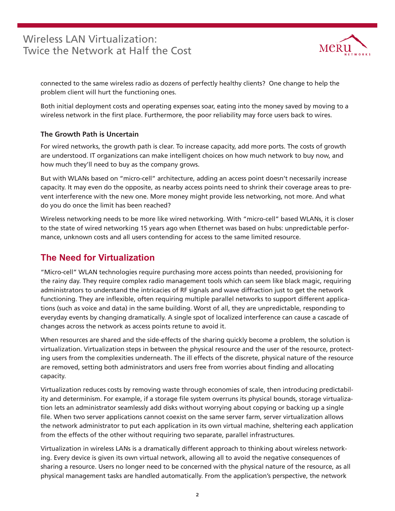

connected to the same wireless radio as dozens of perfectly healthy clients? One change to help the problem client will hurt the functioning ones.

Both initial deployment costs and operating expenses soar, eating into the money saved by moving to a wireless network in the first place. Furthermore, the poor reliability may force users back to wires.

## **The Growth Path is Uncertain**

For wired networks, the growth path is clear. To increase capacity, add more ports. The costs of growth are understood. IT organizations can make intelligent choices on how much network to buy now, and how much they'll need to buy as the company grows.

But with WLANs based on "micro-cell" architecture, adding an access point doesn't necessarily increase capacity. It may even do the opposite, as nearby access points need to shrink their coverage areas to prevent interference with the new one. More money might provide less networking, not more. And what do you do once the limit has been reached?

Wireless networking needs to be more like wired networking. With "micro-cell" based WLANs, it is closer to the state of wired networking 15 years ago when Ethernet was based on hubs: unpredictable performance, unknown costs and all users contending for access to the same limited resource.

## **The Need for Virtualization**

"Micro-cell" WLAN technologies require purchasing more access points than needed, provisioning for the rainy day. They require complex radio management tools which can seem like black magic, requiring administrators to understand the intricacies of RF signals and wave diffraction just to get the network functioning. They are inflexible, often requiring multiple parallel networks to support different applications (such as voice and data) in the same building. Worst of all, they are unpredictable, responding to everyday events by changing dramatically. A single spot of localized interference can cause a cascade of changes across the network as access points retune to avoid it.

When resources are shared and the side-effects of the sharing quickly become a problem, the solution is virtualization. Virtualization steps in between the physical resource and the user of the resource, protecting users from the complexities underneath. The ill effects of the discrete, physical nature of the resource are removed, setting both administrators and users free from worries about finding and allocating capacity.

Virtualization reduces costs by removing waste through economies of scale, then introducing predictability and determinism. For example, if a storage file system overruns its physical bounds, storage virtualization lets an administrator seamlessly add disks without worrying about copying or backing up a single file. When two server applications cannot coexist on the same server farm, server virtualization allows the network administrator to put each application in its own virtual machine, sheltering each application from the effects of the other without requiring two separate, parallel infrastructures.

Virtualization in wireless LANs is a dramatically different approach to thinking about wireless networking. Every device is given its own virtual network, allowing all to avoid the negative consequences of sharing a resource. Users no longer need to be concerned with the physical nature of the resource, as all physical management tasks are handled automatically. From the application's perspective, the network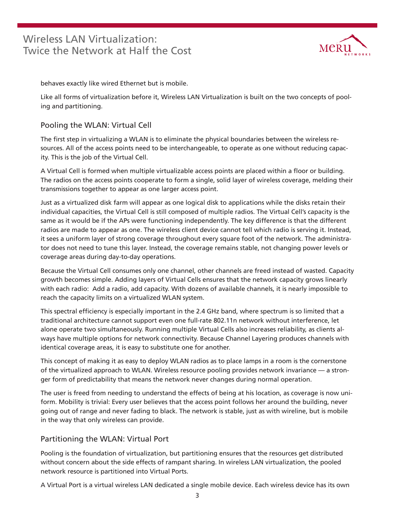

behaves exactly like wired Ethernet but is mobile.

Like all forms of virtualization before it, Wireless LAN Virtualization is built on the two concepts of pooling and partitioning.

## Pooling the WLAN: Virtual Cell

The first step in virtualizing a WLAN is to eliminate the physical boundaries between the wireless resources. All of the access points need to be interchangeable, to operate as one without reducing capacity. This is the job of the Virtual Cell.

A Virtual Cell is formed when multiple virtualizable access points are placed within a floor or building. The radios on the access points cooperate to form a single, solid layer of wireless coverage, melding their transmissions together to appear as one larger access point.

Just as a virtualized disk farm will appear as one logical disk to applications while the disks retain their individual capacities, the Virtual Cell is still composed of multiple radios. The Virtual Cell's capacity is the same as it would be if the APs were functioning independently. The key difference is that the different radios are made to appear as one. The wireless client device cannot tell which radio is serving it. Instead, it sees a uniform layer of strong coverage throughout every square foot of the network. The administrator does not need to tune this layer. Instead, the coverage remains stable, not changing power levels or coverage areas during day-to-day operations.

Because the Virtual Cell consumes only one channel, other channels are freed instead of wasted. Capacity growth becomes simple. Adding layers of Virtual Cells ensures that the network capacity grows linearly with each radio: Add a radio, add capacity. With dozens of available channels, it is nearly impossible to reach the capacity limits on a virtualized WLAN system.

This spectral efficiency is especially important in the 2.4 GHz band, where spectrum is so limited that a traditional architecture cannot support even one full-rate 802.11n network without interference, let alone operate two simultaneously. Running multiple Virtual Cells also increases reliability, as clients always have multiple options for network connectivity. Because Channel Layering produces channels with identical coverage areas, it is easy to substitute one for another.

This concept of making it as easy to deploy WLAN radios as to place lamps in a room is the cornerstone of the virtualized approach to WLAN. Wireless resource pooling provides network invariance — a stronger form of predictability that means the network never changes during normal operation.

The user is freed from needing to understand the effects of being at his location, as coverage is now uniform. Mobility is trivial: Every user believes that the access point follows her around the building, never going out of range and never fading to black. The network is stable, just as with wireline, but is mobile in the way that only wireless can provide.

## Partitioning the WLAN: Virtual Port

Pooling is the foundation of virtualization, but partitioning ensures that the resources get distributed without concern about the side effects of rampant sharing. In wireless LAN virtualization, the pooled network resource is partitioned into Virtual Ports.

A Virtual Port is a virtual wireless LAN dedicated a single mobile device. Each wireless device has its own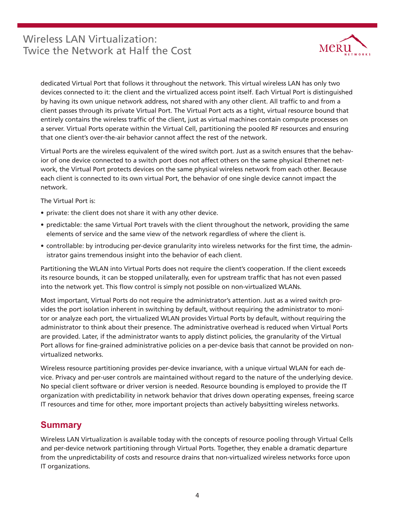

dedicated Virtual Port that follows it throughout the network. This virtual wireless LAN has only two devices connected to it: the client and the virtualized access point itself. Each Virtual Port is distinguished by having its own unique network address, not shared with any other client. All traffic to and from a client passes through its private Virtual Port. The Virtual Port acts as a tight, virtual resource bound that entirely contains the wireless traffic of the client, just as virtual machines contain compute processes on a server. Virtual Ports operate within the Virtual Cell, partitioning the pooled RF resources and ensuring that one client's over-the-air behavior cannot affect the rest of the network.

Virtual Ports are the wireless equivalent of the wired switch port. Just as a switch ensures that the behavior of one device connected to a switch port does not affect others on the same physical Ethernet network, the Virtual Port protects devices on the same physical wireless network from each other. Because each client is connected to its own virtual Port, the behavior of one single device cannot impact the network.

The Virtual Port is:

- private: the client does not share it with any other device.
- predictable: the same Virtual Port travels with the client throughout the network, providing the same elements of service and the same view of the network regardless of where the client is.
- controllable: by introducing per-device granularity into wireless networks for the first time, the administrator gains tremendous insight into the behavior of each client.

Partitioning the WLAN into Virtual Ports does not require the client's cooperation. If the client exceeds its resource bounds, it can be stopped unilaterally, even for upstream traffic that has not even passed into the network yet. This flow control is simply not possible on non-virtualized WLANs.

Most important, Virtual Ports do not require the administrator's attention. Just as a wired switch provides the port isolation inherent in switching by default, without requiring the administrator to monitor or analyze each port, the virtualized WLAN provides Virtual Ports by default, without requiring the administrator to think about their presence. The administrative overhead is reduced when Virtual Ports are provided. Later, if the administrator wants to apply distinct policies, the granularity of the Virtual Port allows for fine-grained administrative policies on a per-device basis that cannot be provided on nonvirtualized networks.

Wireless resource partitioning provides per-device invariance, with a unique virtual WLAN for each device. Privacy and per-user controls are maintained without regard to the nature of the underlying device. No special client software or driver version is needed. Resource bounding is employed to provide the IT organization with predictability in network behavior that drives down operating expenses, freeing scarce IT resources and time for other, more important projects than actively babysitting wireless networks.

## **Summary**

Wireless LAN Virtualization is available today with the concepts of resource pooling through Virtual Cells and per-device network partitioning through Virtual Ports. Together, they enable a dramatic departure from the unpredictability of costs and resource drains that non-virtualized wireless networks force upon IT organizations.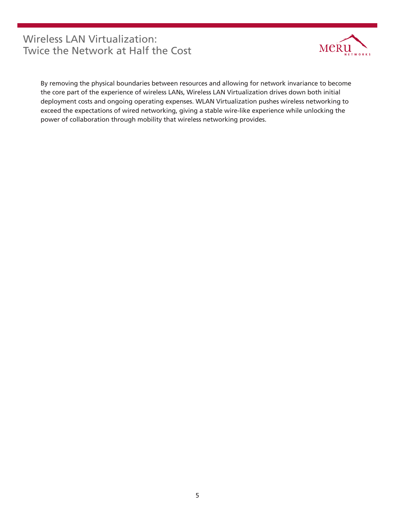

By removing the physical boundaries between resources and allowing for network invariance to become the core part of the experience of wireless LANs, Wireless LAN Virtualization drives down both initial deployment costs and ongoing operating expenses. WLAN Virtualization pushes wireless networking to exceed the expectations of wired networking, giving a stable wire-like experience while unlocking the power of collaboration through mobility that wireless networking provides.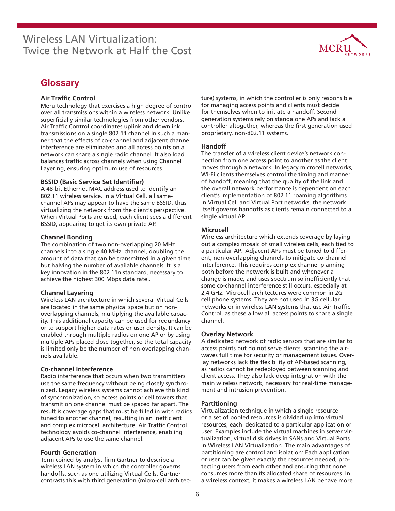

## **Glossary**

#### **Air Traffic Control**

Meru technology that exercises a high degree of control over all transmissions within a wireless network. Unlike superficially similar technologies from other vendors, Air Traffic Control coordinates uplink and downlink transmissions on a single 802.11 channel in such a manner that the effects of co-channel and adjacent channel interference are eliminated and all access points on a network can share a single radio channel. It also load balances traffic across channels when using Channel Layering, ensuring optimum use of resources.

#### **BSSID (Basic Service Set Identifier)**

A 48-bit Ethernet MAC address used to identify an 802.11 wireless service. In a Virtual Cell, all samechannel APs may appear to have the same BSSID, thus virtualizing the network from the client's perspective. When Virtual Ports are used, each client sees a different BSSID, appearing to get its own private AP.

#### **Channel Bonding**

The combination of two non-overlapping 20 MHz. channels into a single 40 MHz. channel, doubling the amount of data that can be transmitted in a given time but halving the number of available channels. It is a key innovation in the 802.11n standard, necessary to achieve the highest 300 Mbps data rate..

#### **Channel Layering**

Wireless LAN architecture in which several Virtual Cells are located in the same physical space but on nonoverlapping channels, multiplying the available capacity. This additional capacity can be used for redundancy or to support higher data rates or user density. It can be enabled through multiple radios on one AP or by using multiple APs placed close together, so the total capacity is limited only be the number of non-overlapping channels available.

#### **Co-channel Interference**

Radio interference that occurs when two transmitters use the same frequency without being closely synchronized. Legacy wireless systems cannot achieve this kind of synchronization, so access points or cell towers that transmit on one channel must be spaced far apart. The result is coverage gaps that must be filled in with radios tuned to another channel, resulting in an inefficient and complex microcell architecture. Air Traffic Control technology avoids co-channel interference, enabling adjacent APs to use the same channel.

#### **Fourth Generation**

Term coined by analyst firm Gartner to describe a wireless LAN system in which the controller governs handoffs, such as one utilizing Virtual Cells. Gartner contrasts this with third generation (micro-cell architec-

ture) systems, in which the controller is only responsible for managing access points and clients must decide for themselves when to initiate a handoff. Second generation systems rely on standalone APs and lack a controller altogether, whereas the first generation used proprietary, non-802.11 systems.

#### **Handoff**

The transfer of a wireless client device's network connection from one access point to another as the client moves through a network. In legacy microcell networks, Wi-Fi clients themselves control the timing and manner of handoff, meaning that the quality of the link and the overall network performance is dependent on each client's implementation of 802.11 roaming algorithms. In Virtual Cell and Virtual Port networks, the network itself governs handoffs as clients remain connected to a single virtual AP.

#### **Microcell**

Wireless architecture which extends coverage by laying out a complex mosaic of small wireless cells, each tied to a particular AP. Adjacent APs must be tuned to different, non-overlapping channels to mitigate co-channel interference. This requires complex channel planning both before the network is built and whenever a change is made, and uses spectrum so inefficiently that some co-channel interference still occurs, especially at 2,4 GHz. Microcell architectures were common in 2G cell phone systems. They are not used in 3G cellular networks or in wireless LAN systems that use Air Traffic Control, as these allow all access points to share a single channel.

#### **Overlay Network**

A dedicated network of radio sensors that are similar to access points but do not serve clients, scanning the airwaves full time for security or management issues. Overlay networks lack the flexibility of AP-based scanning, as radios cannot be redeployed between scanning and client access. They also lack deep integration with the main wireless network, necessary for real-time management and intrusion prevention.

#### **Partitioning**

Virtualization technique in which a single resource or a set of pooled resources is divided up into virtual resources, each dedicated to a particular application or user. Examples include the virtual machines in server virtualization, virtual disk drives in SANs and Virtual Ports in Wireless LAN Virtualization. The main advantages of partitioning are control and isolation: Each application or user can be given exactly the resources needed, protecting users from each other and ensuring that none consumes more than its allocated share of resources. In a wireless context, it makes a wireless LAN behave more